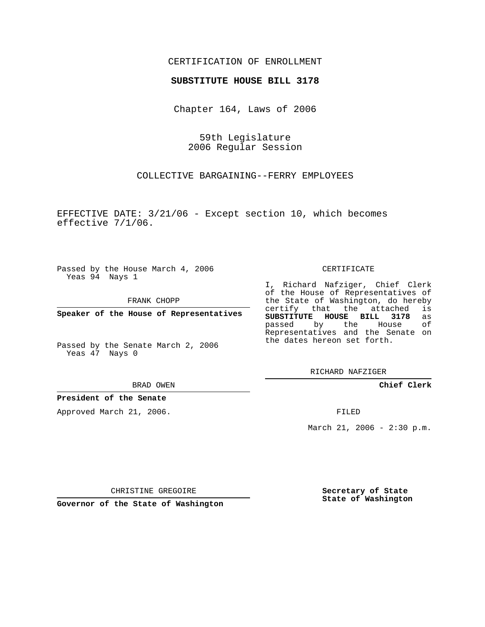## CERTIFICATION OF ENROLLMENT

## **SUBSTITUTE HOUSE BILL 3178**

Chapter 164, Laws of 2006

59th Legislature 2006 Regular Session

COLLECTIVE BARGAINING--FERRY EMPLOYEES

EFFECTIVE DATE: 3/21/06 - Except section 10, which becomes effective 7/1/06.

Passed by the House March 4, 2006 Yeas 94 Nays 1

FRANK CHOPP

**Speaker of the House of Representatives**

Passed by the Senate March 2, 2006 Yeas 47 Nays 0

BRAD OWEN

## **President of the Senate**

Approved March 21, 2006.

CERTIFICATE

I, Richard Nafziger, Chief Clerk of the House of Representatives of the State of Washington, do hereby<br>certify that the attached is certify that the attached **SUBSTITUTE HOUSE BILL 3178** as passed by the House of Representatives and the Senate on the dates hereon set forth.

RICHARD NAFZIGER

**Chief Clerk**

FILED

March 21, 2006 - 2:30 p.m.

CHRISTINE GREGOIRE

**Governor of the State of Washington**

**Secretary of State State of Washington**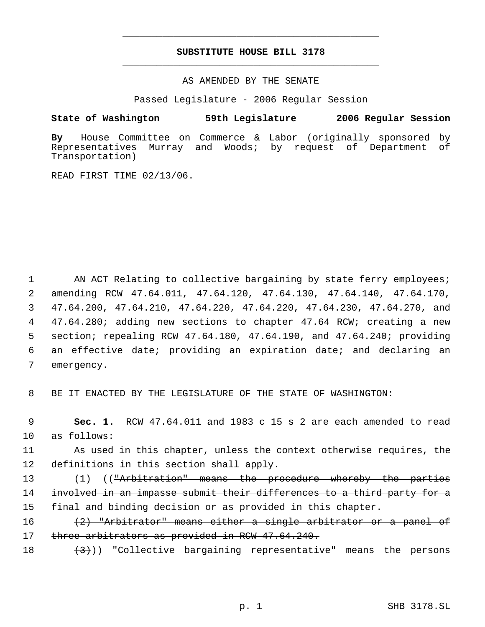## **SUBSTITUTE HOUSE BILL 3178** \_\_\_\_\_\_\_\_\_\_\_\_\_\_\_\_\_\_\_\_\_\_\_\_\_\_\_\_\_\_\_\_\_\_\_\_\_\_\_\_\_\_\_\_\_

\_\_\_\_\_\_\_\_\_\_\_\_\_\_\_\_\_\_\_\_\_\_\_\_\_\_\_\_\_\_\_\_\_\_\_\_\_\_\_\_\_\_\_\_\_

AS AMENDED BY THE SENATE

Passed Legislature - 2006 Regular Session

**State of Washington 59th Legislature 2006 Regular Session**

**By** House Committee on Commerce & Labor (originally sponsored by Murray and Woods; by request of Department of Transportation)

READ FIRST TIME 02/13/06.

1 AN ACT Relating to collective bargaining by state ferry employees; amending RCW 47.64.011, 47.64.120, 47.64.130, 47.64.140, 47.64.170, 47.64.200, 47.64.210, 47.64.220, 47.64.220, 47.64.230, 47.64.270, and 47.64.280; adding new sections to chapter 47.64 RCW; creating a new section; repealing RCW 47.64.180, 47.64.190, and 47.64.240; providing an effective date; providing an expiration date; and declaring an emergency.

8 BE IT ENACTED BY THE LEGISLATURE OF THE STATE OF WASHINGTON:

 9 **Sec. 1.** RCW 47.64.011 and 1983 c 15 s 2 are each amended to read 10 as follows:

11 As used in this chapter, unless the context otherwise requires, the 12 definitions in this section shall apply.

13 (1) ((<del>"Arbitration" means the procedure whereby the parties</del> 14 involved in an impasse submit their differences to a third party for a 15 final and binding decision or as provided in this chapter.

16 (2) "Arbitrator" means either a single arbitrator or a panel of 17 three arbitrators as provided in RCW 47.64.240.

18  $(3)$ ) "Collective bargaining representative" means the persons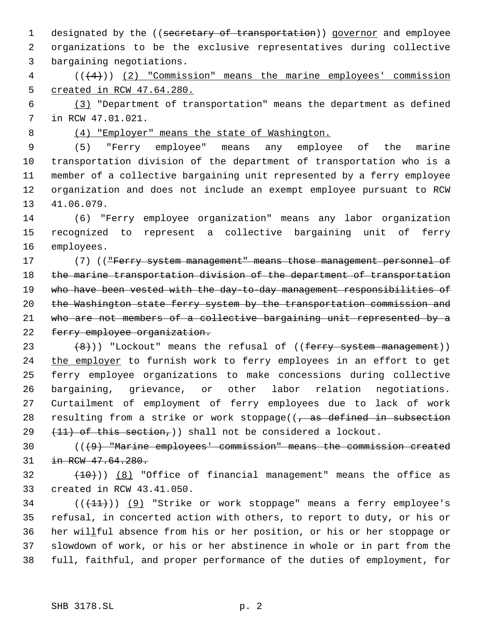1 designated by the ((secretary of transportation)) governor and employee organizations to be the exclusive representatives during collective bargaining negotiations.

 (((4))) (2) "Commission" means the marine employees' commission created in RCW 47.64.280.

 (3) "Department of transportation" means the department as defined in RCW 47.01.021.

(4) "Employer" means the state of Washington.

 (5) "Ferry employee" means any employee of the marine transportation division of the department of transportation who is a member of a collective bargaining unit represented by a ferry employee organization and does not include an exempt employee pursuant to RCW 41.06.079.

 (6) "Ferry employee organization" means any labor organization recognized to represent a collective bargaining unit of ferry employees.

17 (7) (("Ferry system management" means those management personnel of 18 the marine transportation division of the department of transportation 19 who have been vested with the day-to-day management responsibilities of 20 the Washington state ferry system by the transportation commission and who are not members of a collective bargaining unit represented by a 22 ferry employee organization.

 $(8)$ )) "Lockout" means the refusal of ((ferry system management)) 24 the employer to furnish work to ferry employees in an effort to get ferry employee organizations to make concessions during collective bargaining, grievance, or other labor relation negotiations. Curtailment of employment of ferry employees due to lack of work 28 resulting from a strike or work stoppage( $(-$  as defined in subsection  $(11)$  of this section,  $)$  shall not be considered a lockout.

 (((9) "Marine employees' commission" means the commission created in RCW 47.64.280.

 $(10)$ )  $(8)$  "Office of financial management" means the office as created in RCW 43.41.050.

34 (( $(11)$ )) (9) "Strike or work stoppage" means a ferry employee's refusal, in concerted action with others, to report to duty, or his or her willful absence from his or her position, or his or her stoppage or slowdown of work, or his or her abstinence in whole or in part from the full, faithful, and proper performance of the duties of employment, for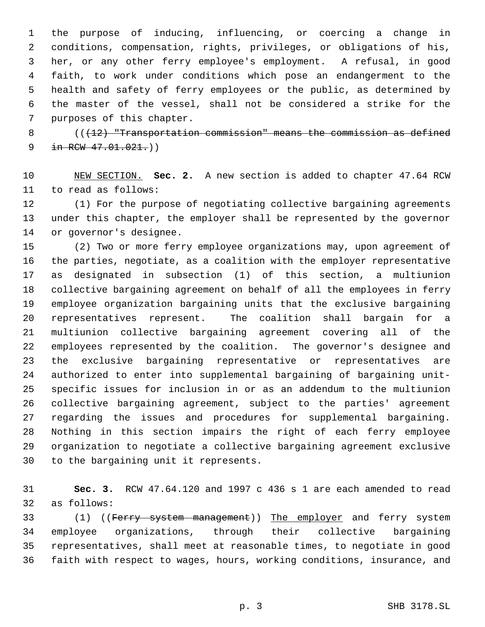the purpose of inducing, influencing, or coercing a change in conditions, compensation, rights, privileges, or obligations of his, her, or any other ferry employee's employment. A refusal, in good faith, to work under conditions which pose an endangerment to the health and safety of ferry employees or the public, as determined by the master of the vessel, shall not be considered a strike for the purposes of this chapter.

8 (( $(12)$  "Transportation commission" means the commission as defined 9 in RCW  $47.01.021.$ )

 NEW SECTION. **Sec. 2.** A new section is added to chapter 47.64 RCW to read as follows:

 (1) For the purpose of negotiating collective bargaining agreements under this chapter, the employer shall be represented by the governor or governor's designee.

 (2) Two or more ferry employee organizations may, upon agreement of the parties, negotiate, as a coalition with the employer representative as designated in subsection (1) of this section, a multiunion collective bargaining agreement on behalf of all the employees in ferry employee organization bargaining units that the exclusive bargaining representatives represent. The coalition shall bargain for a multiunion collective bargaining agreement covering all of the employees represented by the coalition. The governor's designee and the exclusive bargaining representative or representatives are authorized to enter into supplemental bargaining of bargaining unit- specific issues for inclusion in or as an addendum to the multiunion collective bargaining agreement, subject to the parties' agreement regarding the issues and procedures for supplemental bargaining. Nothing in this section impairs the right of each ferry employee organization to negotiate a collective bargaining agreement exclusive to the bargaining unit it represents.

 **Sec. 3.** RCW 47.64.120 and 1997 c 436 s 1 are each amended to read as follows:

33 (1) ((Ferry system management)) The employer and ferry system employee organizations, through their collective bargaining representatives, shall meet at reasonable times, to negotiate in good faith with respect to wages, hours, working conditions, insurance, and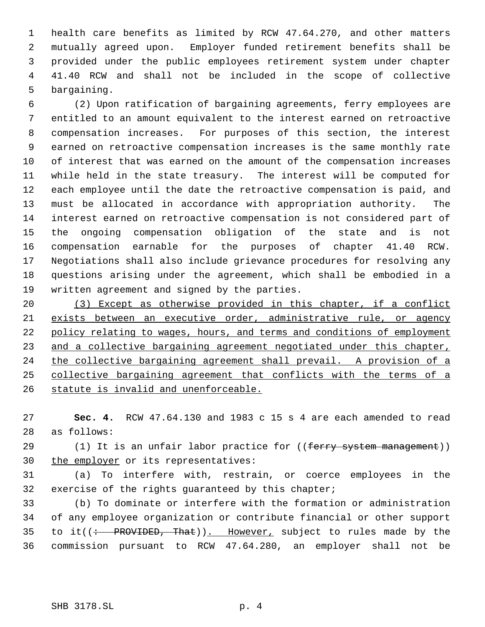health care benefits as limited by RCW 47.64.270, and other matters mutually agreed upon. Employer funded retirement benefits shall be provided under the public employees retirement system under chapter 41.40 RCW and shall not be included in the scope of collective bargaining.

 (2) Upon ratification of bargaining agreements, ferry employees are entitled to an amount equivalent to the interest earned on retroactive compensation increases. For purposes of this section, the interest earned on retroactive compensation increases is the same monthly rate of interest that was earned on the amount of the compensation increases while held in the state treasury. The interest will be computed for each employee until the date the retroactive compensation is paid, and must be allocated in accordance with appropriation authority. The interest earned on retroactive compensation is not considered part of the ongoing compensation obligation of the state and is not compensation earnable for the purposes of chapter 41.40 RCW. Negotiations shall also include grievance procedures for resolving any questions arising under the agreement, which shall be embodied in a written agreement and signed by the parties.

 (3) Except as otherwise provided in this chapter, if a conflict exists between an executive order, administrative rule, or agency policy relating to wages, hours, and terms and conditions of employment 23 and a collective bargaining agreement negotiated under this chapter, the collective bargaining agreement shall prevail. A provision of a collective bargaining agreement that conflicts with the terms of a 26 statute is invalid and unenforceable.

 **Sec. 4.** RCW 47.64.130 and 1983 c 15 s 4 are each amended to read as follows:

29 (1) It is an unfair labor practice for ((ferry system management)) 30 the employer or its representatives:

 (a) To interfere with, restrain, or coerce employees in the exercise of the rights guaranteed by this chapter;

 (b) To dominate or interfere with the formation or administration of any employee organization or contribute financial or other support 35 to it( $\left(\div\right)$  PROVIDED, That)). However, subject to rules made by the commission pursuant to RCW 47.64.280, an employer shall not be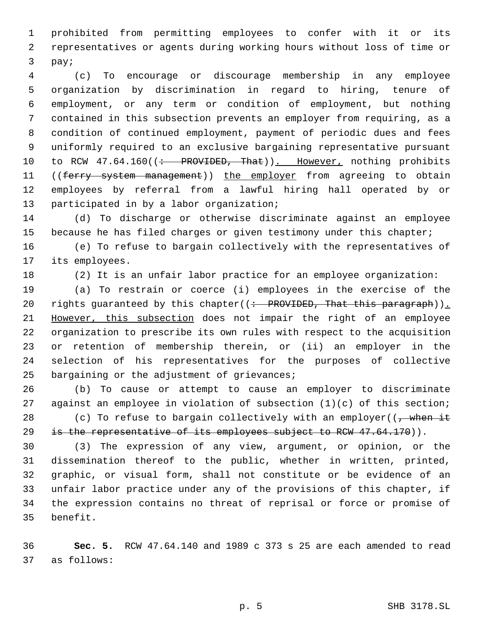prohibited from permitting employees to confer with it or its representatives or agents during working hours without loss of time or pay;

 (c) To encourage or discourage membership in any employee organization by discrimination in regard to hiring, tenure of employment, or any term or condition of employment, but nothing contained in this subsection prevents an employer from requiring, as a condition of continued employment, payment of periodic dues and fees uniformly required to an exclusive bargaining representative pursuant 10 to RCW 47.64.160((: PROVIDED, That)). However, nothing prohibits 11 ((ferry system management)) the employer from agreeing to obtain employees by referral from a lawful hiring hall operated by or participated in by a labor organization;

 (d) To discharge or otherwise discriminate against an employee 15 because he has filed charges or given testimony under this chapter;

 (e) To refuse to bargain collectively with the representatives of its employees.

(2) It is an unfair labor practice for an employee organization:

 (a) To restrain or coerce (i) employees in the exercise of the 20 rights guaranteed by this chapter((: PROVIDED, That this paragraph)). However, this subsection does not impair the right of an employee organization to prescribe its own rules with respect to the acquisition or retention of membership therein, or (ii) an employer in the selection of his representatives for the purposes of collective bargaining or the adjustment of grievances;

 (b) To cause or attempt to cause an employer to discriminate against an employee in violation of subsection (1)(c) of this section; 28 (c) To refuse to bargain collectively with an employer( $\frac{1}{2}$  when it 29 is the representative of its employees subject to RCW  $47.64.170$ )).

 (3) The expression of any view, argument, or opinion, or the dissemination thereof to the public, whether in written, printed, graphic, or visual form, shall not constitute or be evidence of an unfair labor practice under any of the provisions of this chapter, if the expression contains no threat of reprisal or force or promise of benefit.

 **Sec. 5.** RCW 47.64.140 and 1989 c 373 s 25 are each amended to read as follows: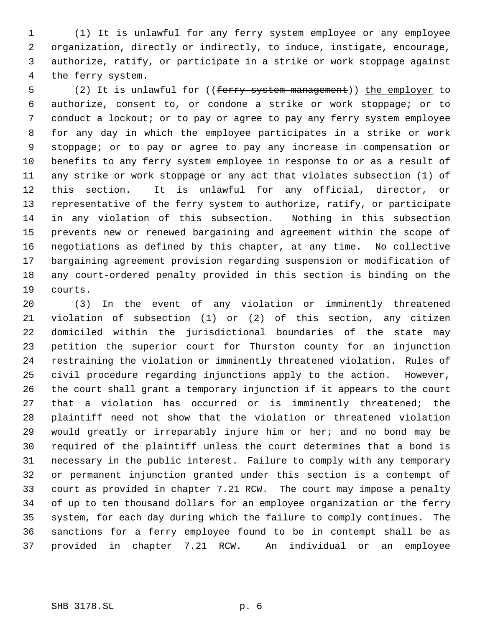(1) It is unlawful for any ferry system employee or any employee organization, directly or indirectly, to induce, instigate, encourage, authorize, ratify, or participate in a strike or work stoppage against the ferry system.

5 (2) It is unlawful for ((<del>ferry system management</del>)) the employer to authorize, consent to, or condone a strike or work stoppage; or to conduct a lockout; or to pay or agree to pay any ferry system employee for any day in which the employee participates in a strike or work stoppage; or to pay or agree to pay any increase in compensation or benefits to any ferry system employee in response to or as a result of any strike or work stoppage or any act that violates subsection (1) of this section. It is unlawful for any official, director, or representative of the ferry system to authorize, ratify, or participate in any violation of this subsection. Nothing in this subsection prevents new or renewed bargaining and agreement within the scope of negotiations as defined by this chapter, at any time. No collective bargaining agreement provision regarding suspension or modification of any court-ordered penalty provided in this section is binding on the courts.

 (3) In the event of any violation or imminently threatened violation of subsection (1) or (2) of this section, any citizen domiciled within the jurisdictional boundaries of the state may petition the superior court for Thurston county for an injunction restraining the violation or imminently threatened violation. Rules of civil procedure regarding injunctions apply to the action. However, the court shall grant a temporary injunction if it appears to the court that a violation has occurred or is imminently threatened; the plaintiff need not show that the violation or threatened violation would greatly or irreparably injure him or her; and no bond may be required of the plaintiff unless the court determines that a bond is necessary in the public interest. Failure to comply with any temporary or permanent injunction granted under this section is a contempt of court as provided in chapter 7.21 RCW. The court may impose a penalty of up to ten thousand dollars for an employee organization or the ferry system, for each day during which the failure to comply continues. The sanctions for a ferry employee found to be in contempt shall be as provided in chapter 7.21 RCW. An individual or an employee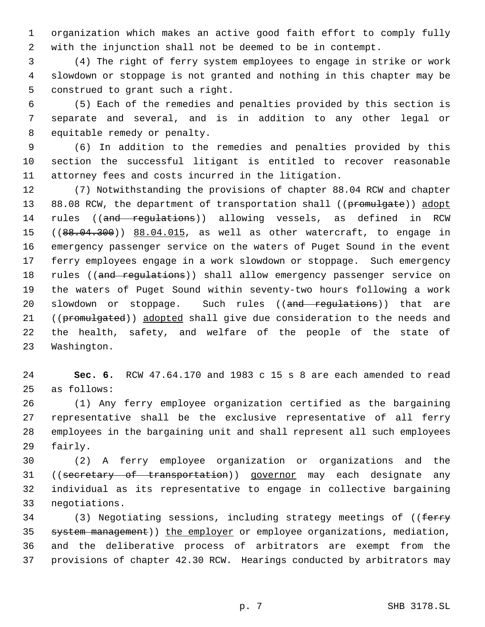organization which makes an active good faith effort to comply fully with the injunction shall not be deemed to be in contempt.

 (4) The right of ferry system employees to engage in strike or work slowdown or stoppage is not granted and nothing in this chapter may be construed to grant such a right.

 (5) Each of the remedies and penalties provided by this section is separate and several, and is in addition to any other legal or equitable remedy or penalty.

 (6) In addition to the remedies and penalties provided by this section the successful litigant is entitled to recover reasonable attorney fees and costs incurred in the litigation.

 (7) Notwithstanding the provisions of chapter 88.04 RCW and chapter 13 88.08 RCW, the department of transportation shall ((promulgate)) adopt 14 rules ((and regulations)) allowing vessels, as defined in RCW 15 ((88.04.300)) 88.04.015, as well as other watercraft, to engage in emergency passenger service on the waters of Puget Sound in the event ferry employees engage in a work slowdown or stoppage. Such emergency 18 rules ((and regulations)) shall allow emergency passenger service on the waters of Puget Sound within seventy-two hours following a work 20 slowdown or stoppage. Such rules ((and regulations)) that are 21 ((promulgated)) adopted shall give due consideration to the needs and the health, safety, and welfare of the people of the state of Washington.

 **Sec. 6.** RCW 47.64.170 and 1983 c 15 s 8 are each amended to read as follows:

 (1) Any ferry employee organization certified as the bargaining representative shall be the exclusive representative of all ferry employees in the bargaining unit and shall represent all such employees fairly.

 (2) A ferry employee organization or organizations and the 31 ((secretary of transportation)) governor may each designate any individual as its representative to engage in collective bargaining negotiations.

34 (3) Negotiating sessions, including strategy meetings of ((ferry system management)) the employer or employee organizations, mediation, and the deliberative process of arbitrators are exempt from the provisions of chapter 42.30 RCW. Hearings conducted by arbitrators may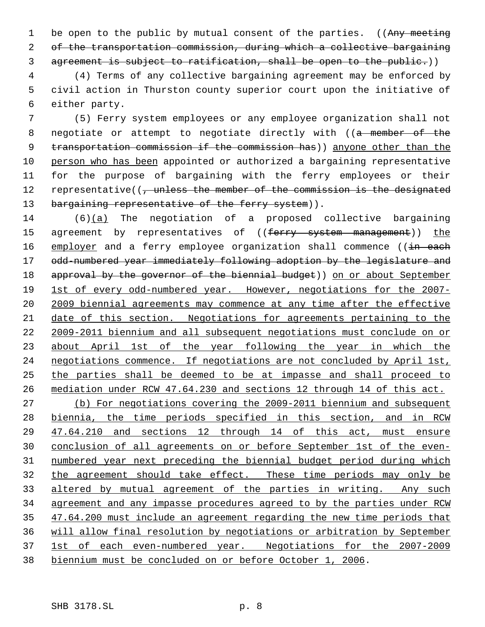1 be open to the public by mutual consent of the parties. ((Any meeting of the transportation commission, during which a collective bargaining agreement is subject to ratification, shall be open to the public.))

 (4) Terms of any collective bargaining agreement may be enforced by civil action in Thurston county superior court upon the initiative of either party.

 (5) Ferry system employees or any employee organization shall not 8 negotiate or attempt to negotiate directly with ((a member of the 9 transportation commission if the commission has)) anyone other than the person who has been appointed or authorized a bargaining representative for the purpose of bargaining with the ferry employees or their 12 representative((, unless the member of the commission is the designated 13 bargaining representative of the ferry system)).

 (6)(a) The negotiation of a proposed collective bargaining 15 agreement by representatives of ((ferry system management)) the 16 employer and a ferry employee organization shall commence ((in each 17 odd-numbered year immediately following adoption by the legislature and 18 approval by the governor of the biennial budget)) on or about September 19 1st of every odd-numbered year. However, negotiations for the 2007-20 2009 biennial agreements may commence at any time after the effective date of this section. Negotiations for agreements pertaining to the 2009-2011 biennium and all subsequent negotiations must conclude on or 23 about April 1st of the year following the year in which the negotiations commence. If negotiations are not concluded by April 1st, the parties shall be deemed to be at impasse and shall proceed to mediation under RCW 47.64.230 and sections 12 through 14 of this act. (b) For negotiations covering the 2009-2011 biennium and subsequent biennia, the time periods specified in this section, and in RCW 47.64.210 and sections 12 through 14 of this act, must ensure conclusion of all agreements on or before September 1st of the even- numbered year next preceding the biennial budget period during which the agreement should take effect. These time periods may only be altered by mutual agreement of the parties in writing. Any such agreement and any impasse procedures agreed to by the parties under RCW 35 47.64.200 must include an agreement regarding the new time periods that will allow final resolution by negotiations or arbitration by September 1st of each even-numbered year. Negotiations for the 2007-2009

biennium must be concluded on or before October 1, 2006.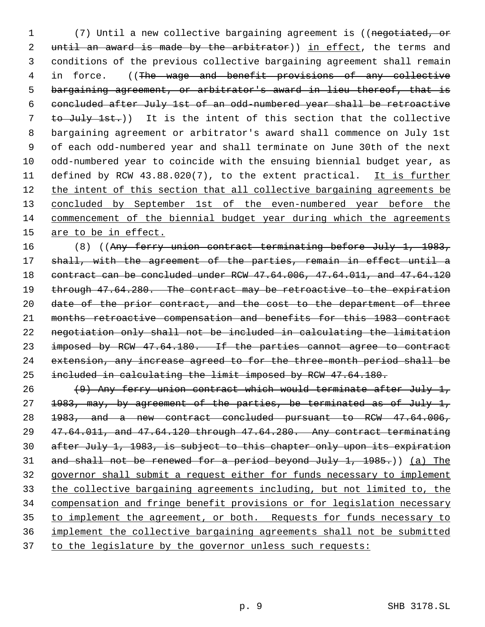(7) Until a new collective bargaining agreement is ((negotiated, or 2 until an award is made by the arbitrator)) in effect, the terms and conditions of the previous collective bargaining agreement shall remain 4 in force. ((The wage and benefit provisions of any collective bargaining agreement, or arbitrator's award in lieu thereof, that is concluded after July 1st of an odd-numbered year shall be retroactive 7 to July 1st.)) It is the intent of this section that the collective bargaining agreement or arbitrator's award shall commence on July 1st of each odd-numbered year and shall terminate on June 30th of the next odd-numbered year to coincide with the ensuing biennial budget year, as 11 defined by RCW 43.88.020(7), to the extent practical. It is further 12 the intent of this section that all collective bargaining agreements be 13 concluded by September 1st of the even-numbered year before the commencement of the biennial budget year during which the agreements 15 are to be in effect.

 (8) ((Any ferry union contract terminating before July 1, 1983, 17 shall, with the agreement of the parties, remain in effect until a contract can be concluded under RCW 47.64.006, 47.64.011, and 47.64.120 19 through 47.64.280. The contract may be retroactive to the expiration date of the prior contract, and the cost to the department of three months retroactive compensation and benefits for this 1983 contract negotiation only shall not be included in calculating the limitation 23 imposed by RCW 47.64.180. If the parties cannot agree to contract extension, any increase agreed to for the three-month period shall be included in calculating the limit imposed by RCW 47.64.180.

 (9) Any ferry union contract which would terminate after July 1, 1983, may, by agreement of the parties, be terminated as of July 1, 1983, and a new contract concluded pursuant to RCW 47.64.006, 47.64.011, and 47.64.120 through 47.64.280. Any contract terminating after July 1, 1983, is subject to this chapter only upon its expiration and shall not be renewed for a period beyond July 1, 1985.)) (a) The governor shall submit a request either for funds necessary to implement the collective bargaining agreements including, but not limited to, the compensation and fringe benefit provisions or for legislation necessary 35 to implement the agreement, or both. Requests for funds necessary to implement the collective bargaining agreements shall not be submitted 37 to the legislature by the governor unless such requests: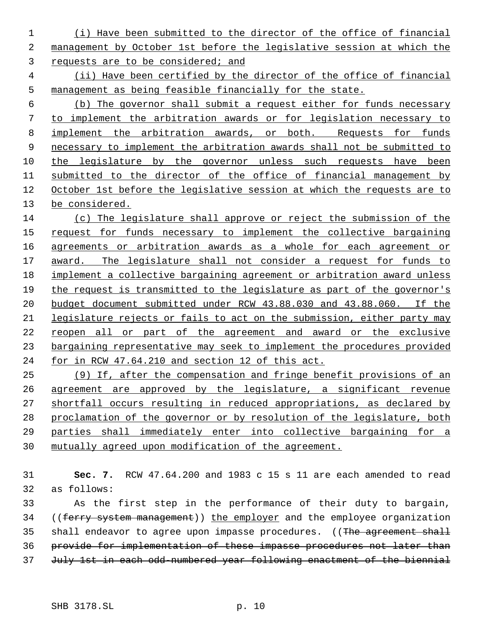(i) Have been submitted to the director of the office of financial management by October 1st before the legislative session at which the requests are to be considered; and

 (ii) Have been certified by the director of the office of financial management as being feasible financially for the state.

 (b) The governor shall submit a request either for funds necessary to implement the arbitration awards or for legislation necessary to implement the arbitration awards, or both. Requests for funds necessary to implement the arbitration awards shall not be submitted to the legislature by the governor unless such requests have been submitted to the director of the office of financial management by October 1st before the legislative session at which the requests are to be considered.

 (c) The legislature shall approve or reject the submission of the request for funds necessary to implement the collective bargaining agreements or arbitration awards as a whole for each agreement or award. The legislature shall not consider a request for funds to implement a collective bargaining agreement or arbitration award unless the request is transmitted to the legislature as part of the governor's budget document submitted under RCW 43.88.030 and 43.88.060. If the legislature rejects or fails to act on the submission, either party may reopen all or part of the agreement and award or the exclusive bargaining representative may seek to implement the procedures provided for in RCW 47.64.210 and section 12 of this act.

 (9) If, after the compensation and fringe benefit provisions of an agreement are approved by the legislature, a significant revenue shortfall occurs resulting in reduced appropriations, as declared by proclamation of the governor or by resolution of the legislature, both parties shall immediately enter into collective bargaining for a mutually agreed upon modification of the agreement.

 **Sec. 7.** RCW 47.64.200 and 1983 c 15 s 11 are each amended to read as follows:

 As the first step in the performance of their duty to bargain, 34 ((ferry system management)) the employer and the employee organization 35 shall endeavor to agree upon impasse procedures. ((The agreement shall provide for implementation of these impasse procedures not later than 37 July 1st in each odd-numbered year following enactment of the biennial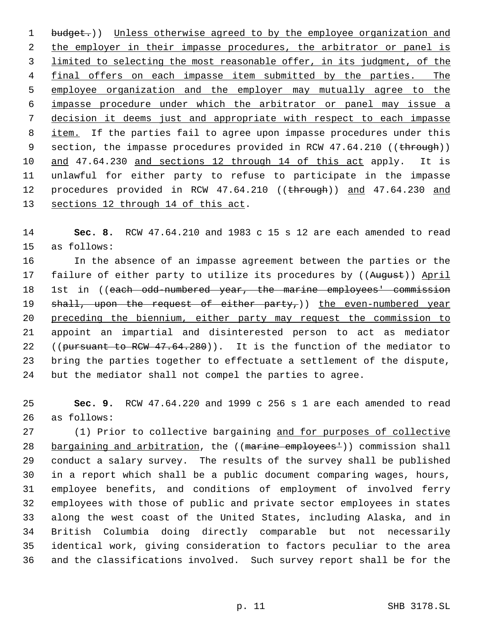1 budget.)) Unless otherwise agreed to by the employee organization and 2 the employer in their impasse procedures, the arbitrator or panel is 3 limited to selecting the most reasonable offer, in its judgment, of the 4 final offers on each impasse item submitted by the parties. The employee organization and the employer may mutually agree to the impasse procedure under which the arbitrator or panel may issue a decision it deems just and appropriate with respect to each impasse 8 item. If the parties fail to agree upon impasse procedures under this 9 section, the impasse procedures provided in RCW 47.64.210 ((through)) and 47.64.230 and sections 12 through 14 of this act apply. It is unlawful for either party to refuse to participate in the impasse 12 procedures provided in RCW 47.64.210 ((through)) and 47.64.230 and 13 sections 12 through 14 of this act.

 **Sec. 8.** RCW 47.64.210 and 1983 c 15 s 12 are each amended to read as follows:

 In the absence of an impasse agreement between the parties or the 17 failure of either party to utilize its procedures by ((August)) April 18 1st in ((each odd-numbered year, the marine employees' commission  $shall, upon the request of either party,$ ) the even-numbered year preceding the biennium, either party may request the commission to appoint an impartial and disinterested person to act as mediator 22 ((pursuant to RCW 47.64.280)). It is the function of the mediator to bring the parties together to effectuate a settlement of the dispute, but the mediator shall not compel the parties to agree.

 **Sec. 9.** RCW 47.64.220 and 1999 c 256 s 1 are each amended to read as follows:

 (1) Prior to collective bargaining and for purposes of collective 28 bargaining and arbitration, the ((marine employees<sup>1</sup>)) commission shall conduct a salary survey. The results of the survey shall be published in a report which shall be a public document comparing wages, hours, employee benefits, and conditions of employment of involved ferry employees with those of public and private sector employees in states along the west coast of the United States, including Alaska, and in British Columbia doing directly comparable but not necessarily identical work, giving consideration to factors peculiar to the area and the classifications involved. Such survey report shall be for the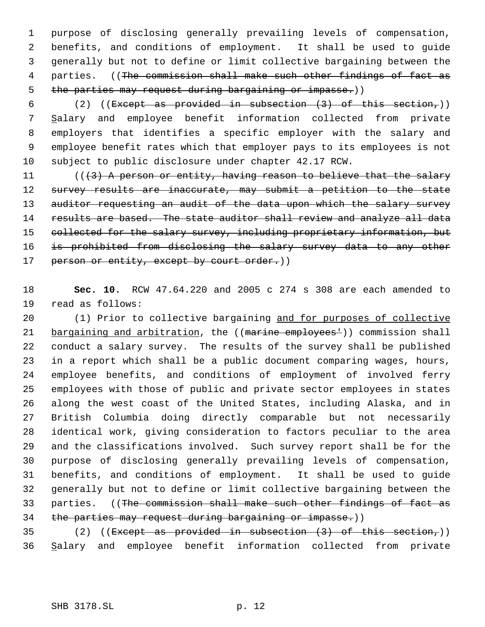purpose of disclosing generally prevailing levels of compensation, benefits, and conditions of employment. It shall be used to guide generally but not to define or limit collective bargaining between the 4 parties. ((The commission shall make such other findings of fact as 5 the parties may request during bargaining or impasse.))

6 (2) ((Except as provided in subsection  $(3)$  of this section,)) Salary and employee benefit information collected from private employers that identifies a specific employer with the salary and employee benefit rates which that employer pays to its employees is not subject to public disclosure under chapter 42.17 RCW.

11  $((3)$  A person or entity, having reason to believe that the salary 12 survey results are inaccurate, may submit a petition to the state 13 auditor requesting an audit of the data upon which the salary survey 14 results are based. The state auditor shall review and analyze all data 15 collected for the salary survey, including proprietary information, but is prohibited from disclosing the salary survey data to any other 17 person or entity, except by court order.))

 **Sec. 10.** RCW 47.64.220 and 2005 c 274 s 308 are each amended to read as follows:

 (1) Prior to collective bargaining and for purposes of collective 21 bargaining and arbitration, the ((marine employees<sup>1</sup>)) commission shall conduct a salary survey. The results of the survey shall be published in a report which shall be a public document comparing wages, hours, employee benefits, and conditions of employment of involved ferry employees with those of public and private sector employees in states along the west coast of the United States, including Alaska, and in British Columbia doing directly comparable but not necessarily identical work, giving consideration to factors peculiar to the area and the classifications involved. Such survey report shall be for the purpose of disclosing generally prevailing levels of compensation, benefits, and conditions of employment. It shall be used to guide generally but not to define or limit collective bargaining between the 33 parties. ((The commission shall make such other findings of fact as 34 the parties may request during bargaining or impasse.))

35 (2) ((Except as provided in subsection  $(3)$  of this section,)) Salary and employee benefit information collected from private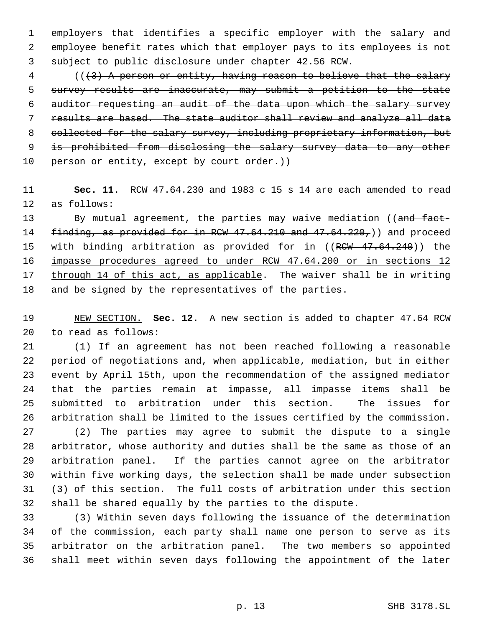employers that identifies a specific employer with the salary and employee benefit rates which that employer pays to its employees is not subject to public disclosure under chapter 42.56 RCW.

 (((3) A person or entity, having reason to believe that the salary 5 survey results are inaccurate, may submit a petition to the state auditor requesting an audit of the data upon which the salary survey results are based. The state auditor shall review and analyze all data 8 collected for the salary survey, including proprietary information, but 9 is prohibited from disclosing the salary survey data to any other 10 person or entity, except by court order.))

 **Sec. 11.** RCW 47.64.230 and 1983 c 15 s 14 are each amended to read as follows:

13 By mutual agreement, the parties may waive mediation ((and fact-14 finding, as provided for in RCW 47.64.210 and 47.64.220,)) and proceed 15 with binding arbitration as provided for in ((RCW 47.64.240)) the impasse procedures agreed to under RCW 47.64.200 or in sections 12 through 14 of this act, as applicable. The waiver shall be in writing and be signed by the representatives of the parties.

 NEW SECTION. **Sec. 12.** A new section is added to chapter 47.64 RCW to read as follows:

 (1) If an agreement has not been reached following a reasonable period of negotiations and, when applicable, mediation, but in either event by April 15th, upon the recommendation of the assigned mediator that the parties remain at impasse, all impasse items shall be submitted to arbitration under this section. The issues for arbitration shall be limited to the issues certified by the commission.

 (2) The parties may agree to submit the dispute to a single arbitrator, whose authority and duties shall be the same as those of an arbitration panel. If the parties cannot agree on the arbitrator within five working days, the selection shall be made under subsection (3) of this section. The full costs of arbitration under this section shall be shared equally by the parties to the dispute.

 (3) Within seven days following the issuance of the determination of the commission, each party shall name one person to serve as its arbitrator on the arbitration panel. The two members so appointed shall meet within seven days following the appointment of the later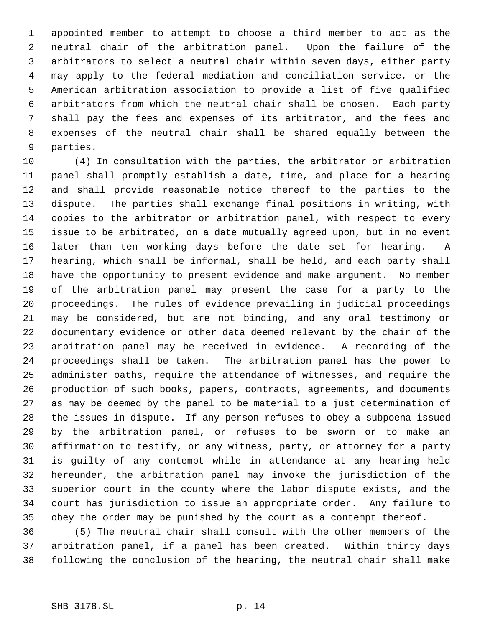appointed member to attempt to choose a third member to act as the neutral chair of the arbitration panel. Upon the failure of the arbitrators to select a neutral chair within seven days, either party may apply to the federal mediation and conciliation service, or the American arbitration association to provide a list of five qualified arbitrators from which the neutral chair shall be chosen. Each party shall pay the fees and expenses of its arbitrator, and the fees and expenses of the neutral chair shall be shared equally between the parties.

 (4) In consultation with the parties, the arbitrator or arbitration panel shall promptly establish a date, time, and place for a hearing and shall provide reasonable notice thereof to the parties to the dispute. The parties shall exchange final positions in writing, with copies to the arbitrator or arbitration panel, with respect to every issue to be arbitrated, on a date mutually agreed upon, but in no event later than ten working days before the date set for hearing. A hearing, which shall be informal, shall be held, and each party shall have the opportunity to present evidence and make argument. No member of the arbitration panel may present the case for a party to the proceedings. The rules of evidence prevailing in judicial proceedings may be considered, but are not binding, and any oral testimony or documentary evidence or other data deemed relevant by the chair of the arbitration panel may be received in evidence. A recording of the proceedings shall be taken. The arbitration panel has the power to administer oaths, require the attendance of witnesses, and require the production of such books, papers, contracts, agreements, and documents as may be deemed by the panel to be material to a just determination of the issues in dispute. If any person refuses to obey a subpoena issued by the arbitration panel, or refuses to be sworn or to make an affirmation to testify, or any witness, party, or attorney for a party is guilty of any contempt while in attendance at any hearing held hereunder, the arbitration panel may invoke the jurisdiction of the superior court in the county where the labor dispute exists, and the court has jurisdiction to issue an appropriate order. Any failure to obey the order may be punished by the court as a contempt thereof.

 (5) The neutral chair shall consult with the other members of the arbitration panel, if a panel has been created. Within thirty days following the conclusion of the hearing, the neutral chair shall make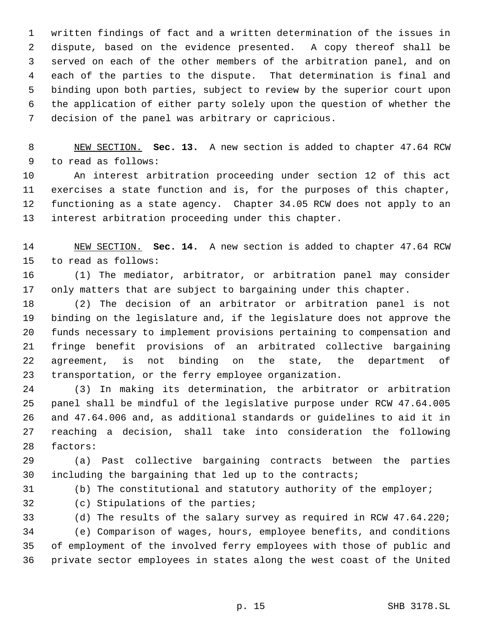written findings of fact and a written determination of the issues in dispute, based on the evidence presented. A copy thereof shall be served on each of the other members of the arbitration panel, and on each of the parties to the dispute. That determination is final and binding upon both parties, subject to review by the superior court upon the application of either party solely upon the question of whether the decision of the panel was arbitrary or capricious.

 NEW SECTION. **Sec. 13.** A new section is added to chapter 47.64 RCW to read as follows:

 An interest arbitration proceeding under section 12 of this act exercises a state function and is, for the purposes of this chapter, functioning as a state agency. Chapter 34.05 RCW does not apply to an interest arbitration proceeding under this chapter.

 NEW SECTION. **Sec. 14.** A new section is added to chapter 47.64 RCW to read as follows:

 (1) The mediator, arbitrator, or arbitration panel may consider only matters that are subject to bargaining under this chapter.

 (2) The decision of an arbitrator or arbitration panel is not binding on the legislature and, if the legislature does not approve the funds necessary to implement provisions pertaining to compensation and fringe benefit provisions of an arbitrated collective bargaining agreement, is not binding on the state, the department of transportation, or the ferry employee organization.

 (3) In making its determination, the arbitrator or arbitration panel shall be mindful of the legislative purpose under RCW 47.64.005 and 47.64.006 and, as additional standards or guidelines to aid it in reaching a decision, shall take into consideration the following factors:

 (a) Past collective bargaining contracts between the parties including the bargaining that led up to the contracts;

(b) The constitutional and statutory authority of the employer;

(c) Stipulations of the parties;

 (d) The results of the salary survey as required in RCW 47.64.220; (e) Comparison of wages, hours, employee benefits, and conditions of employment of the involved ferry employees with those of public and private sector employees in states along the west coast of the United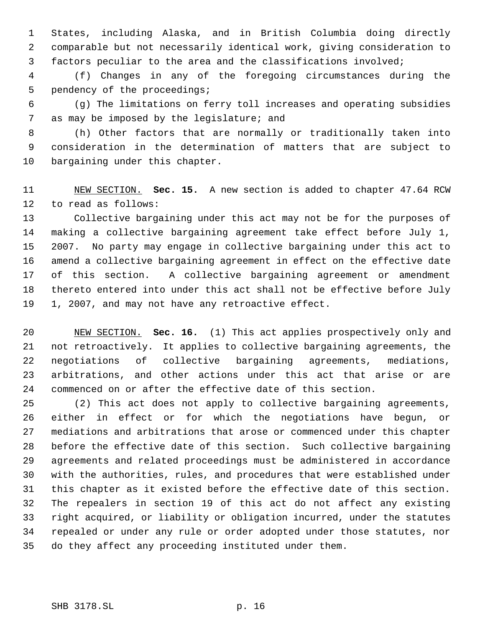States, including Alaska, and in British Columbia doing directly comparable but not necessarily identical work, giving consideration to factors peculiar to the area and the classifications involved;

 (f) Changes in any of the foregoing circumstances during the pendency of the proceedings;

 (g) The limitations on ferry toll increases and operating subsidies 7 as may be imposed by the legislature; and

 (h) Other factors that are normally or traditionally taken into consideration in the determination of matters that are subject to bargaining under this chapter.

 NEW SECTION. **Sec. 15.** A new section is added to chapter 47.64 RCW to read as follows:

 Collective bargaining under this act may not be for the purposes of making a collective bargaining agreement take effect before July 1, 2007. No party may engage in collective bargaining under this act to amend a collective bargaining agreement in effect on the effective date of this section. A collective bargaining agreement or amendment thereto entered into under this act shall not be effective before July 1, 2007, and may not have any retroactive effect.

 NEW SECTION. **Sec. 16.** (1) This act applies prospectively only and not retroactively. It applies to collective bargaining agreements, the negotiations of collective bargaining agreements, mediations, arbitrations, and other actions under this act that arise or are commenced on or after the effective date of this section.

 (2) This act does not apply to collective bargaining agreements, either in effect or for which the negotiations have begun, or mediations and arbitrations that arose or commenced under this chapter before the effective date of this section. Such collective bargaining agreements and related proceedings must be administered in accordance with the authorities, rules, and procedures that were established under this chapter as it existed before the effective date of this section. The repealers in section 19 of this act do not affect any existing right acquired, or liability or obligation incurred, under the statutes repealed or under any rule or order adopted under those statutes, nor do they affect any proceeding instituted under them.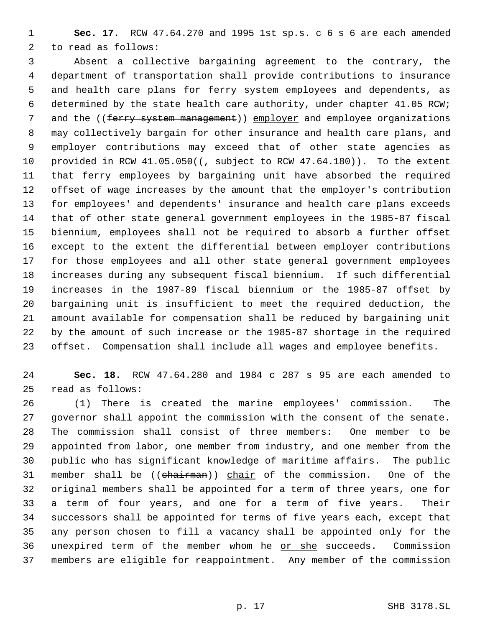**Sec. 17.** RCW 47.64.270 and 1995 1st sp.s. c 6 s 6 are each amended to read as follows:

 Absent a collective bargaining agreement to the contrary, the department of transportation shall provide contributions to insurance and health care plans for ferry system employees and dependents, as determined by the state health care authority, under chapter 41.05 RCW; 7 and the ((ferry system management)) employer and employee organizations may collectively bargain for other insurance and health care plans, and employer contributions may exceed that of other state agencies as 10 provided in RCW  $41.05.050$  ( $\sqrt{ }$  subject to RCW  $47.64.180$ )). To the extent that ferry employees by bargaining unit have absorbed the required offset of wage increases by the amount that the employer's contribution for employees' and dependents' insurance and health care plans exceeds that of other state general government employees in the 1985-87 fiscal biennium, employees shall not be required to absorb a further offset except to the extent the differential between employer contributions for those employees and all other state general government employees increases during any subsequent fiscal biennium. If such differential increases in the 1987-89 fiscal biennium or the 1985-87 offset by bargaining unit is insufficient to meet the required deduction, the amount available for compensation shall be reduced by bargaining unit by the amount of such increase or the 1985-87 shortage in the required offset. Compensation shall include all wages and employee benefits.

 **Sec. 18.** RCW 47.64.280 and 1984 c 287 s 95 are each amended to read as follows:

 (1) There is created the marine employees' commission. The governor shall appoint the commission with the consent of the senate. The commission shall consist of three members: One member to be appointed from labor, one member from industry, and one member from the public who has significant knowledge of maritime affairs. The public 31 member shall be ((chairman)) chair of the commission. One of the original members shall be appointed for a term of three years, one for a term of four years, and one for a term of five years. Their successors shall be appointed for terms of five years each, except that any person chosen to fill a vacancy shall be appointed only for the 36 unexpired term of the member whom he or she succeeds. Commission members are eligible for reappointment. Any member of the commission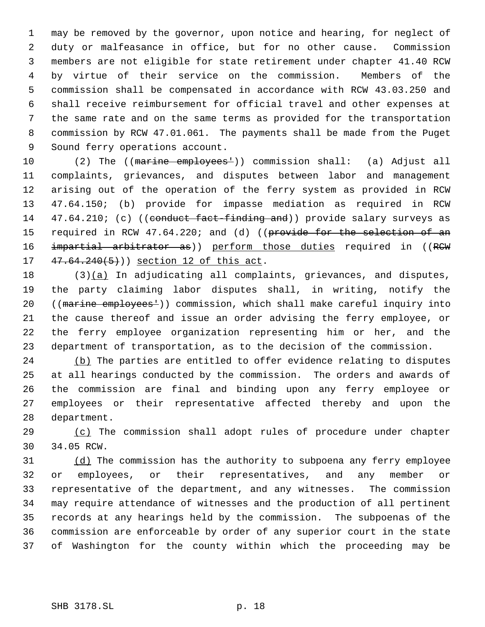may be removed by the governor, upon notice and hearing, for neglect of duty or malfeasance in office, but for no other cause. Commission members are not eligible for state retirement under chapter 41.40 RCW by virtue of their service on the commission. Members of the commission shall be compensated in accordance with RCW 43.03.250 and shall receive reimbursement for official travel and other expenses at the same rate and on the same terms as provided for the transportation commission by RCW 47.01.061. The payments shall be made from the Puget Sound ferry operations account.

10 (2) The ((marine employees<sup>1</sup>)) commission shall: (a) Adjust all complaints, grievances, and disputes between labor and management arising out of the operation of the ferry system as provided in RCW 47.64.150; (b) provide for impasse mediation as required in RCW 14 47.64.210; (c) ((conduct fact-finding and)) provide salary surveys as 15 required in RCW 47.64.220; and (d) ((provide for the selection of an 16 impartial arbitrator as)) perform those duties required in ((RCW 17 47.64.240(5)) section 12 of this act.

 (3) $(a)$  In adjudicating all complaints, grievances, and disputes, the party claiming labor disputes shall, in writing, notify the 20 ((marine employees<sup>1</sup>)) commission, which shall make careful inquiry into the cause thereof and issue an order advising the ferry employee, or the ferry employee organization representing him or her, and the department of transportation, as to the decision of the commission.

24 (b) The parties are entitled to offer evidence relating to disputes at all hearings conducted by the commission. The orders and awards of the commission are final and binding upon any ferry employee or employees or their representative affected thereby and upon the department.

 (c) The commission shall adopt rules of procedure under chapter 34.05 RCW.

31 (d) The commission has the authority to subpoena any ferry employee or employees, or their representatives, and any member or representative of the department, and any witnesses. The commission may require attendance of witnesses and the production of all pertinent records at any hearings held by the commission. The subpoenas of the commission are enforceable by order of any superior court in the state of Washington for the county within which the proceeding may be